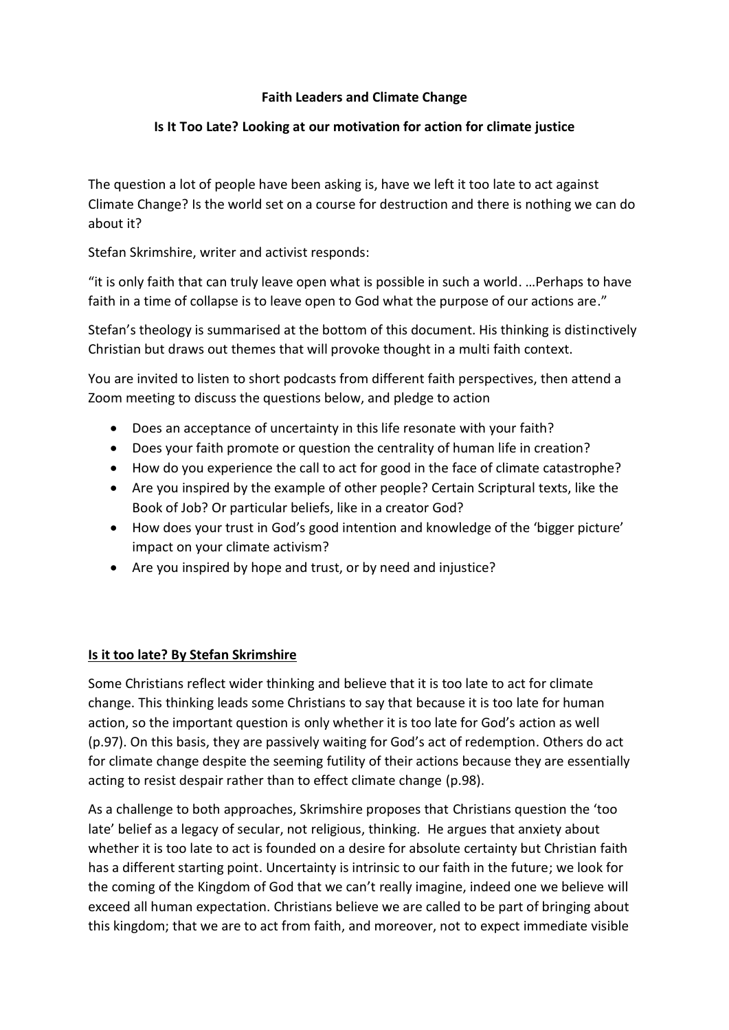## **Faith Leaders and Climate Change**

## **Is It Too Late? Looking at our motivation for action for climate justice**

The question a lot of people have been asking is, have we left it too late to act against Climate Change? Is the world set on a course for destruction and there is nothing we can do about it?

Stefan Skrimshire, writer and activist responds:

"it is only faith that can truly leave open what is possible in such a world. …Perhaps to have faith in a time of collapse is to leave open to God what the purpose of our actions are."

Stefan's theology is summarised at the bottom of this document. His thinking is distinctively Christian but draws out themes that will provoke thought in a multi faith context.

You are invited to listen to short podcasts from different faith perspectives, then attend a Zoom meeting to discuss the questions below, and pledge to action

- Does an acceptance of uncertainty in this life resonate with your faith?
- Does your faith promote or question the centrality of human life in creation?
- How do you experience the call to act for good in the face of climate catastrophe?
- Are you inspired by the example of other people? Certain Scriptural texts, like the Book of Job? Or particular beliefs, like in a creator God?
- How does your trust in God's good intention and knowledge of the 'bigger picture' impact on your climate activism?
- Are you inspired by hope and trust, or by need and injustice?

## **Is it too late? By Stefan Skrimshire**

Some Christians reflect wider thinking and believe that it is too late to act for climate change. This thinking leads some Christians to say that because it is too late for human action, so the important question is only whether it is too late for God's action as well (p.97). On this basis, they are passively waiting for God's act of redemption. Others do act for climate change despite the seeming futility of their actions because they are essentially acting to resist despair rather than to effect climate change (p.98).

As a challenge to both approaches, Skrimshire proposes that Christians question the 'too late' belief as a legacy of secular, not religious, thinking. He argues that anxiety about whether it is too late to act is founded on a desire for absolute certainty but Christian faith has a different starting point. Uncertainty is intrinsic to our faith in the future; we look for the coming of the Kingdom of God that we can't really imagine, indeed one we believe will exceed all human expectation. Christians believe we are called to be part of bringing about this kingdom; that we are to act from faith, and moreover, not to expect immediate visible